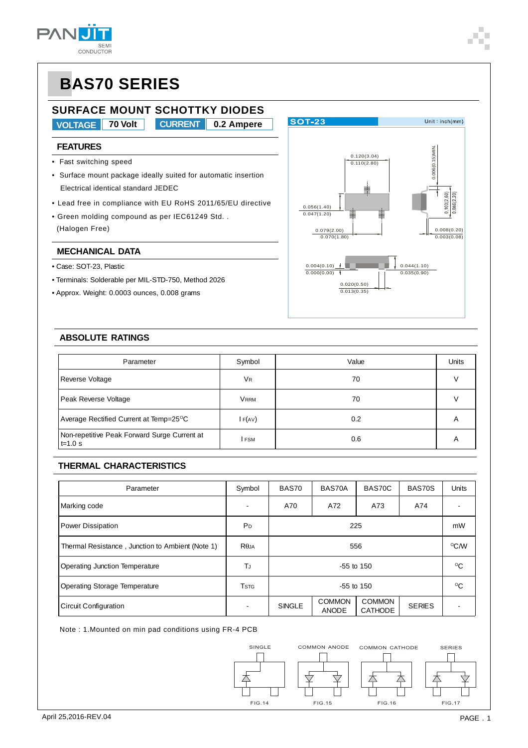

### **SURFACE MOUNT SCHOTTKY DIODES**

**VOLTAGE 70 Volt 0.2 Ampere CURRENT**

### **FEATURES**

- Fast switching speed
- Surface mount package ideally suited for automatic insertion Electrical identical standard JEDEC
- Lead free in compliance with EU RoHS 2011/65/EU directive
- Green molding compound as per IEC61249 Std. . (Halogen Free)

#### **MECHANICAL DATA**

- Case: SOT-23, Plastic
- Terminals: Solderable per MIL-STD-750, Method 2026
- Approx. Weight: 0.0003 ounces, 0.008 grams



#### **ABSOLUTE RATINGS**

| Parameter                                                   | Symbol      | Value | <b>Units</b> |
|-------------------------------------------------------------|-------------|-------|--------------|
| Reverse Voltage                                             | VR          | 70    | V            |
| Peak Reverse Voltage                                        | <b>VRRM</b> | 70    |              |
| Average Rectified Current at Temp=25 <sup>o</sup> C         | $I$ F(AV)   | 0.2   | Α            |
| Non-repetitive Peak Forward Surge Current at<br>$t = 1.0 s$ | I FSM       | 0.6   | Α            |

### **THERMAL CHARACTERISTICS**

| Parameter                                        | Symbol                               | BAS70         | BAS70A                        | BAS70C                          | BAS70S        | <b>Units</b> |
|--------------------------------------------------|--------------------------------------|---------------|-------------------------------|---------------------------------|---------------|--------------|
| Marking code                                     |                                      | A70           | A72                           | A73                             | A74           |              |
| Power Dissipation                                | P <sub>D</sub>                       | 225           |                               |                                 |               |              |
| Thermal Resistance, Junction to Ambient (Note 1) | $R\theta$ JA                         |               | °C/W                          |                                 |               |              |
| Operating Junction Temperature                   | ТJ                                   | $-55$ to 150  |                               |                                 |               | °C           |
| <b>Operating Storage Temperature</b>             | <b>T</b> <sub>S</sub> T <sub>G</sub> | $-55$ to 150  |                               |                                 |               | $\rm ^{o}C$  |
| Circuit Configuration                            |                                      | <b>SINGLE</b> | <b>COMMON</b><br><b>ANODE</b> | <b>COMMON</b><br><b>CATHODE</b> | <b>SERIES</b> |              |

Note : 1.Mounted on min pad conditions using FR-4 PCB

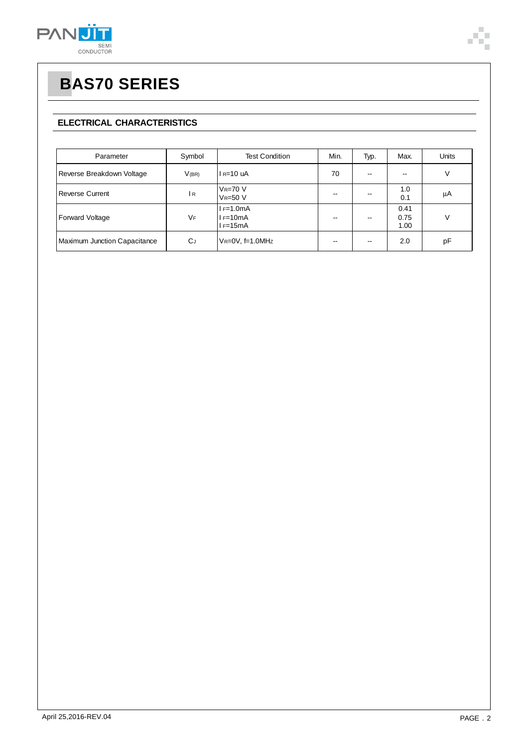

### **ELECTRICAL CHARACTERISTICS**

| Parameter                    | Symbol     | <b>Test Condition</b>                   | Min. | Typ.                     | Max.                 | <b>Units</b> |
|------------------------------|------------|-----------------------------------------|------|--------------------------|----------------------|--------------|
| Reverse Breakdown Voltage    | $V$ (BR)   | $I_R=10$ uA                             | 70   | $\overline{\phantom{a}}$ | --                   | V            |
| <b>Reverse Current</b>       | I R        | $V_R = 70 V$<br><b>VR=50 V</b>          | --   | --                       | 1.0<br>0.1           | μA           |
| Forward Voltage              | VF         | $I = 1.0mA$<br>$I = 10mA$<br>$I = 15mA$ |      | --                       | 0.41<br>0.75<br>1.00 | V            |
| Maximum Junction Capacitance | <b>C</b> J | $V_R = 0V$ , f=1.0MHz                   | --   | $\overline{\phantom{a}}$ | 2.0                  | pF           |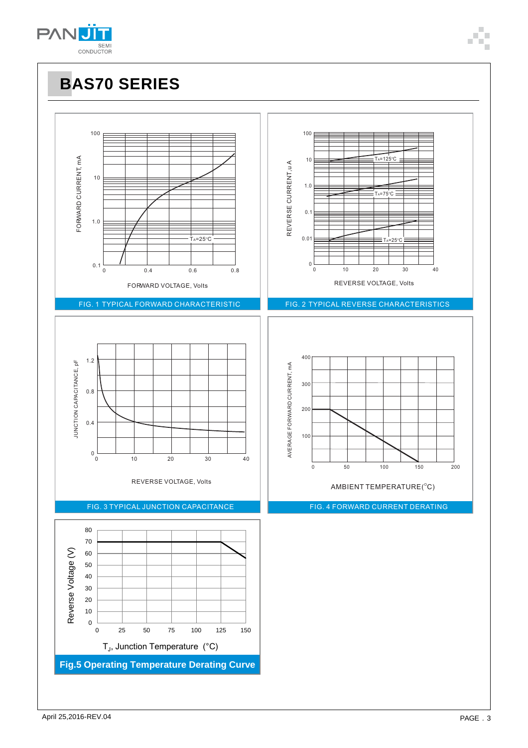

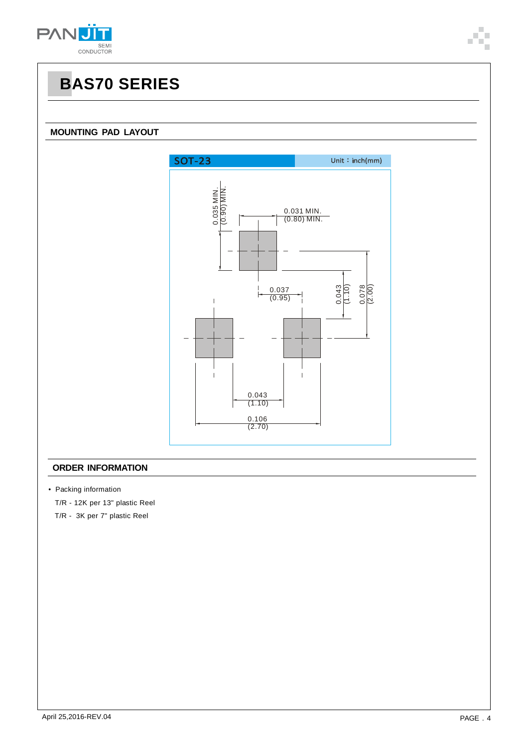

### **MOUNTING PAD LAYOUT**



### **ORDER INFORMATION**

• Packing information

T/R - 12K per 13" plastic Reel

T/R - 3K per 7" plastic Reel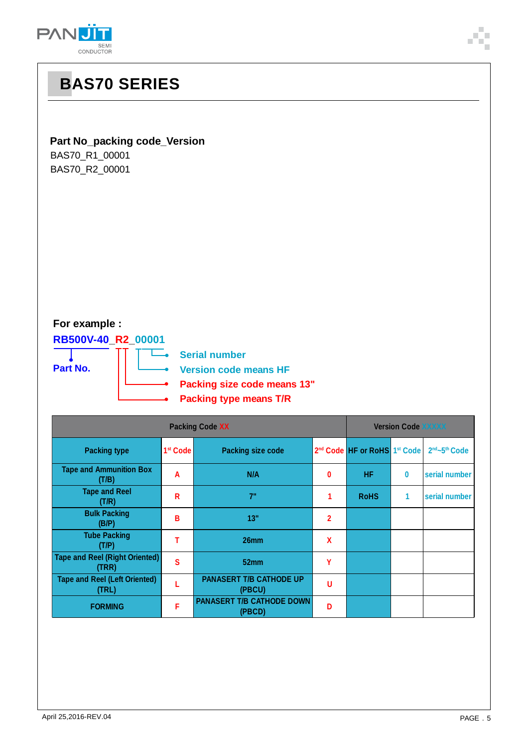

### **Part No\_packing code\_Version**

BAS70\_R1\_00001 BAS70\_R2\_00001

### **For example :**

**RB500V-40\_R2\_00001**

**Part No.**

**Berial number** 

**Version code means HF**

- **Packing size code means 13"**
- **Packing type means T/R**

| <b>Packing Code XX</b>                         |                      |                                            |                | <b>Version Code XXXXX</b>                            |          |                                       |  |
|------------------------------------------------|----------------------|--------------------------------------------|----------------|------------------------------------------------------|----------|---------------------------------------|--|
| <b>Packing type</b>                            | 1 <sup>st</sup> Code | <b>Packing size code</b>                   |                | 2 <sup>nd</sup> Code HF or RoHS 1 <sup>st</sup> Code |          | 2 <sup>nd</sup> ~5 <sup>th</sup> Code |  |
| <b>Tape and Ammunition Box</b><br>(T/B)        | A                    | N/A                                        | 0              | <b>HF</b>                                            | $\bf{0}$ | serial number                         |  |
| <b>Tape and Reel</b><br>(T/R)                  | R                    | 7"                                         |                | <b>RoHS</b>                                          | 1        | serial number                         |  |
| <b>Bulk Packing</b><br>(B/P)                   | В                    | 13"                                        | $\overline{2}$ |                                                      |          |                                       |  |
| <b>Tube Packing</b><br>(T/P)                   |                      | 26 <sub>mm</sub>                           | X              |                                                      |          |                                       |  |
| <b>Tape and Reel (Right Oriented)</b><br>(TRR) | S                    | 52 <sub>mm</sub>                           | γ              |                                                      |          |                                       |  |
| <b>Tape and Reel (Left Oriented)</b><br>(TRL)  |                      | <b>PANASERT T/B CATHODE UP</b><br>(PBCU)   | U              |                                                      |          |                                       |  |
| <b>FORMING</b>                                 | F                    | <b>PANASERT T/B CATHODE DOWN</b><br>(PBCD) | D              |                                                      |          |                                       |  |